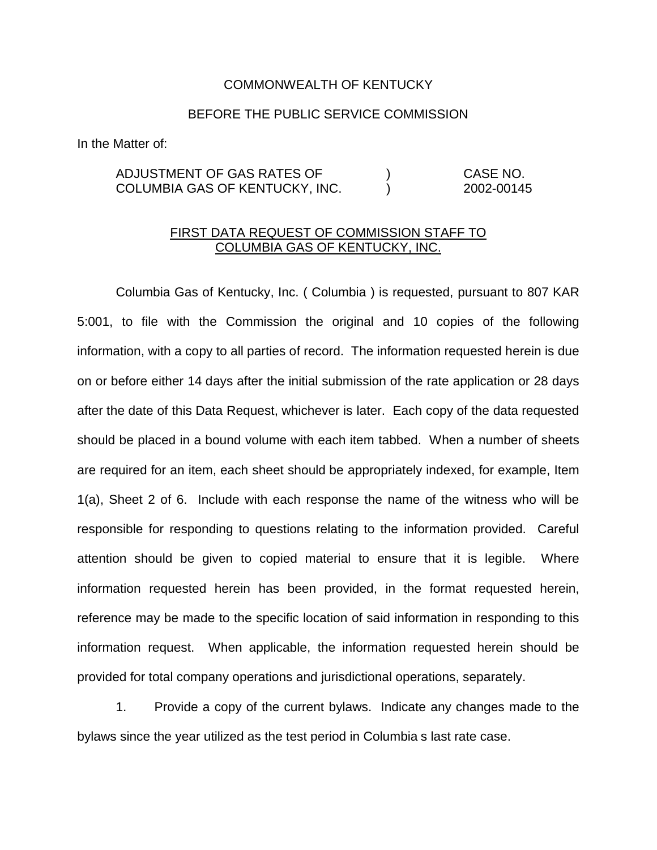## COMMONWEALTH OF KENTUCKY

## BEFORE THE PUBLIC SERVICE COMMISSION

In the Matter of:

## ADJUSTMENT OF GAS RATES OF ) CASE NO. COLUMBIA GAS OF KENTUCKY, INC. ) 2002-00145

## FIRST DATA REQUEST OF COMMISSION STAFF TO COLUMBIA GAS OF KENTUCKY, INC.

Columbia Gas of Kentucky, Inc. ( Columbia ) is requested, pursuant to 807 KAR 5:001, to file with the Commission the original and 10 copies of the following information, with a copy to all parties of record. The information requested herein is due on or before either 14 days after the initial submission of the rate application or 28 days after the date of this Data Request, whichever is later. Each copy of the data requested should be placed in a bound volume with each item tabbed. When a number of sheets are required for an item, each sheet should be appropriately indexed, for example, Item 1(a), Sheet 2 of 6. Include with each response the name of the witness who will be responsible for responding to questions relating to the information provided. Careful attention should be given to copied material to ensure that it is legible. Where information requested herein has been provided, in the format requested herein, reference may be made to the specific location of said information in responding to this information request. When applicable, the information requested herein should be provided for total company operations and jurisdictional operations, separately.

1. Provide a copy of the current bylaws. Indicate any changes made to the bylaws since the year utilized as the test period in Columbia s last rate case.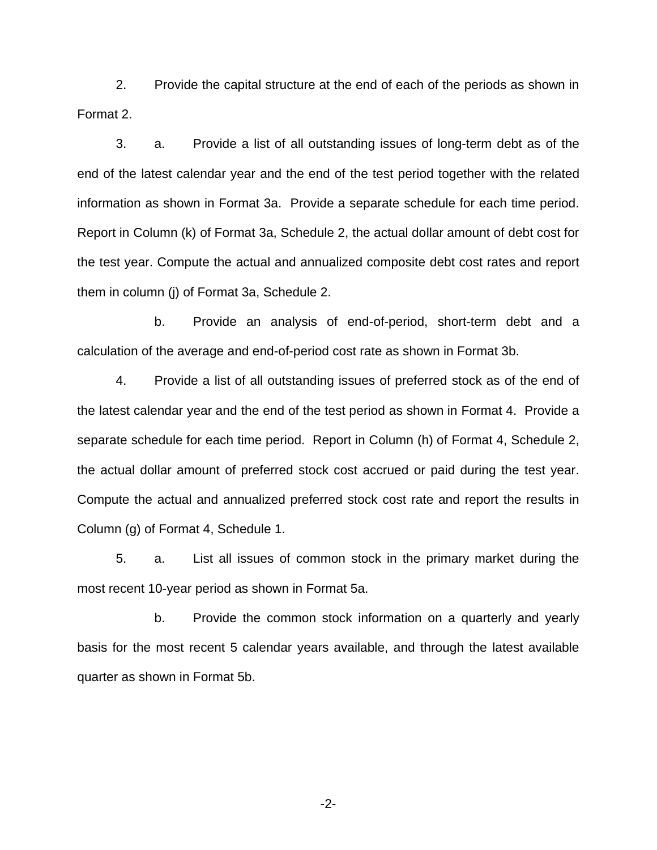2. Provide the capital structure at the end of each of the periods as shown in Format 2.

3. a. Provide a list of all outstanding issues of long-term debt as of the end of the latest calendar year and the end of the test period together with the related information as shown in Format 3a. Provide a separate schedule for each time period. Report in Column (k) of Format 3a, Schedule 2, the actual dollar amount of debt cost for the test year. Compute the actual and annualized composite debt cost rates and report them in column (j) of Format 3a, Schedule 2.

b. Provide an analysis of end-of-period, short-term debt and a calculation of the average and end-of-period cost rate as shown in Format 3b.

4. Provide a list of all outstanding issues of preferred stock as of the end of the latest calendar year and the end of the test period as shown in Format 4. Provide a separate schedule for each time period. Report in Column (h) of Format 4, Schedule 2, the actual dollar amount of preferred stock cost accrued or paid during the test year. Compute the actual and annualized preferred stock cost rate and report the results in Column (g) of Format 4, Schedule 1.

5. a. List all issues of common stock in the primary market during the most recent 10-year period as shown in Format 5a.

b. Provide the common stock information on a quarterly and yearly basis for the most recent 5 calendar years available, and through the latest available quarter as shown in Format 5b.

-2-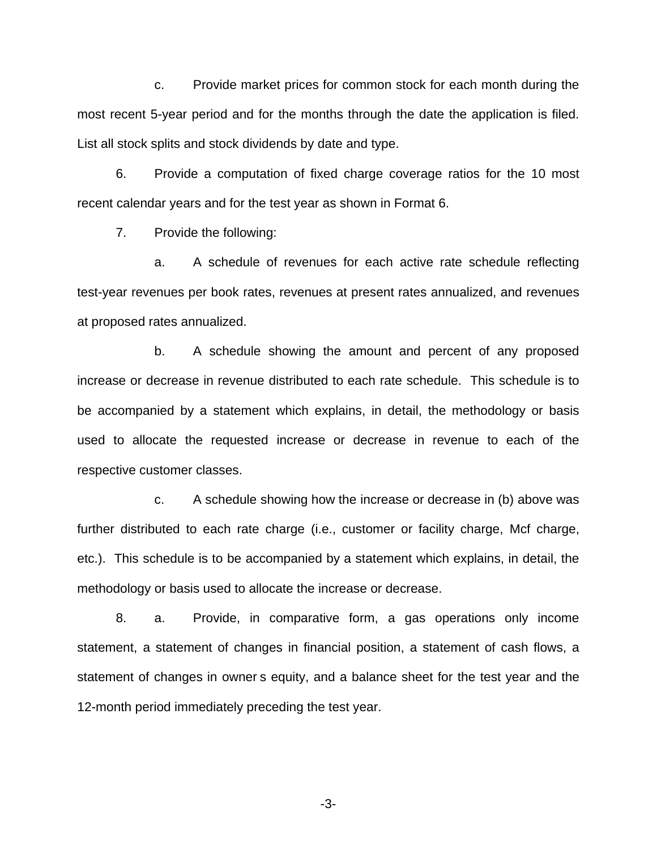c. Provide market prices for common stock for each month during the most recent 5-year period and for the months through the date the application is filed. List all stock splits and stock dividends by date and type.

6. Provide a computation of fixed charge coverage ratios for the 10 most recent calendar years and for the test year as shown in Format 6.

7. Provide the following:

a. A schedule of revenues for each active rate schedule reflecting test-year revenues per book rates, revenues at present rates annualized, and revenues at proposed rates annualized.

b. A schedule showing the amount and percent of any proposed increase or decrease in revenue distributed to each rate schedule. This schedule is to be accompanied by a statement which explains, in detail, the methodology or basis used to allocate the requested increase or decrease in revenue to each of the respective customer classes.

c. A schedule showing how the increase or decrease in (b) above was further distributed to each rate charge (i.e., customer or facility charge, Mcf charge, etc.). This schedule is to be accompanied by a statement which explains, in detail, the methodology or basis used to allocate the increase or decrease.

8. a. Provide, in comparative form, a gas operations only income statement, a statement of changes in financial position, a statement of cash flows, a statement of changes in owner s equity, and a balance sheet for the test year and the 12-month period immediately preceding the test year.

-3-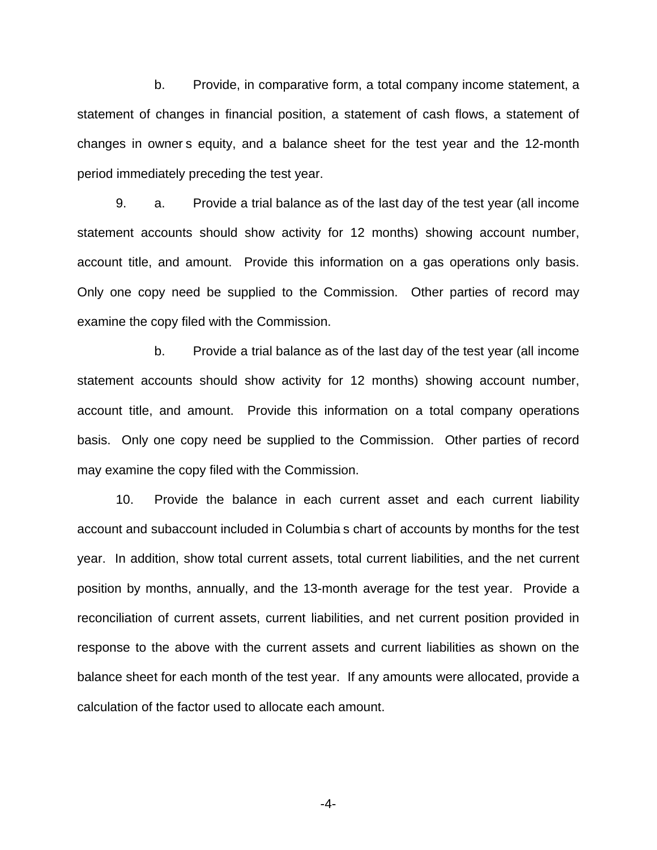b. Provide, in comparative form, a total company income statement, a statement of changes in financial position, a statement of cash flows, a statement of changes in owner s equity, and a balance sheet for the test year and the 12-month period immediately preceding the test year.

9. a. Provide a trial balance as of the last day of the test year (all income statement accounts should show activity for 12 months) showing account number, account title, and amount. Provide this information on a gas operations only basis. Only one copy need be supplied to the Commission. Other parties of record may examine the copy filed with the Commission.

b. Provide a trial balance as of the last day of the test year (all income statement accounts should show activity for 12 months) showing account number, account title, and amount. Provide this information on a total company operations basis. Only one copy need be supplied to the Commission. Other parties of record may examine the copy filed with the Commission.

10. Provide the balance in each current asset and each current liability account and subaccount included in Columbia s chart of accounts by months for the test year. In addition, show total current assets, total current liabilities, and the net current position by months, annually, and the 13-month average for the test year. Provide a reconciliation of current assets, current liabilities, and net current position provided in response to the above with the current assets and current liabilities as shown on the balance sheet for each month of the test year. If any amounts were allocated, provide a calculation of the factor used to allocate each amount.

-4-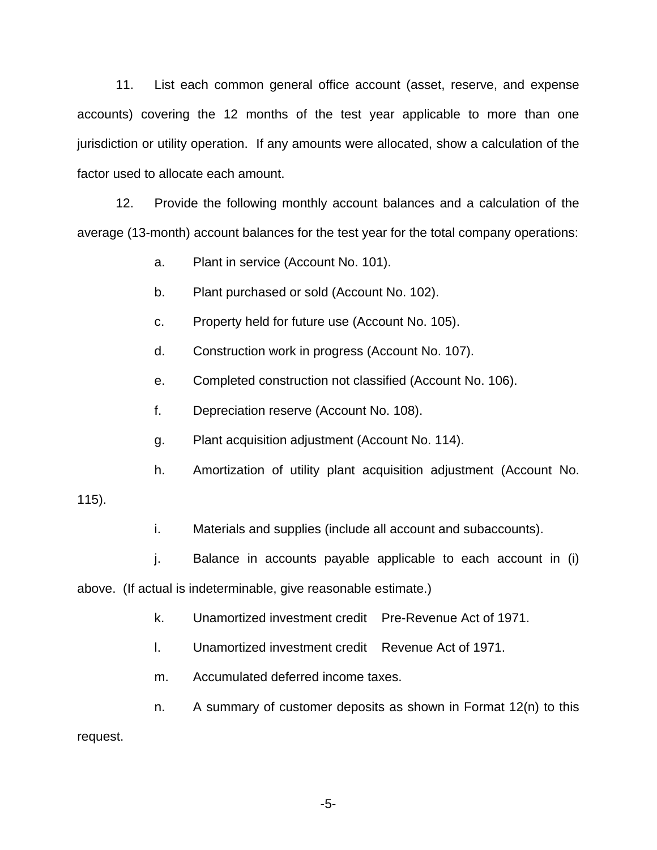11. List each common general office account (asset, reserve, and expense accounts) covering the 12 months of the test year applicable to more than one jurisdiction or utility operation. If any amounts were allocated, show a calculation of the factor used to allocate each amount.

12. Provide the following monthly account balances and a calculation of the average (13-month) account balances for the test year for the total company operations:

a. Plant in service (Account No. 101).

b. Plant purchased or sold (Account No. 102).

c. Property held for future use (Account No. 105).

d. Construction work in progress (Account No. 107).

e. Completed construction not classified (Account No. 106).

f. Depreciation reserve (Account No. 108).

g. Plant acquisition adjustment (Account No. 114).

h. Amortization of utility plant acquisition adjustment (Account No.

115).

i. Materials and supplies (include all account and subaccounts).

j. Balance in accounts payable applicable to each account in (i)

above. (If actual is indeterminable, give reasonable estimate.)

- k. Unamortized investment credit Pre-Revenue Act of 1971.
- l. Unamortized investment credit Revenue Act of 1971.
- m. Accumulated deferred income taxes.

n. A summary of customer deposits as shown in Format 12(n) to this request.

-5-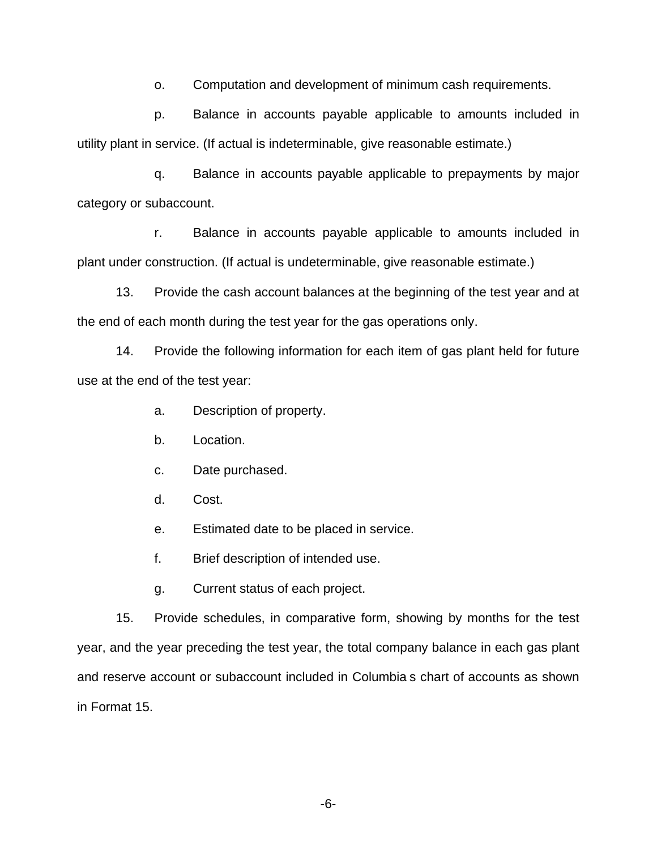o. Computation and development of minimum cash requirements.

p. Balance in accounts payable applicable to amounts included in utility plant in service. (If actual is indeterminable, give reasonable estimate.)

q. Balance in accounts payable applicable to prepayments by major category or subaccount.

r. Balance in accounts payable applicable to amounts included in plant under construction. (If actual is undeterminable, give reasonable estimate.)

13. Provide the cash account balances at the beginning of the test year and at the end of each month during the test year for the gas operations only.

14. Provide the following information for each item of gas plant held for future use at the end of the test year:

a. Description of property.

- b. Location.
- c. Date purchased.
- d. Cost.
- e. Estimated date to be placed in service.
- f. Brief description of intended use.
- g. Current status of each project.

15. Provide schedules, in comparative form, showing by months for the test year, and the year preceding the test year, the total company balance in each gas plant and reserve account or subaccount included in Columbia s chart of accounts as shown in Format 15.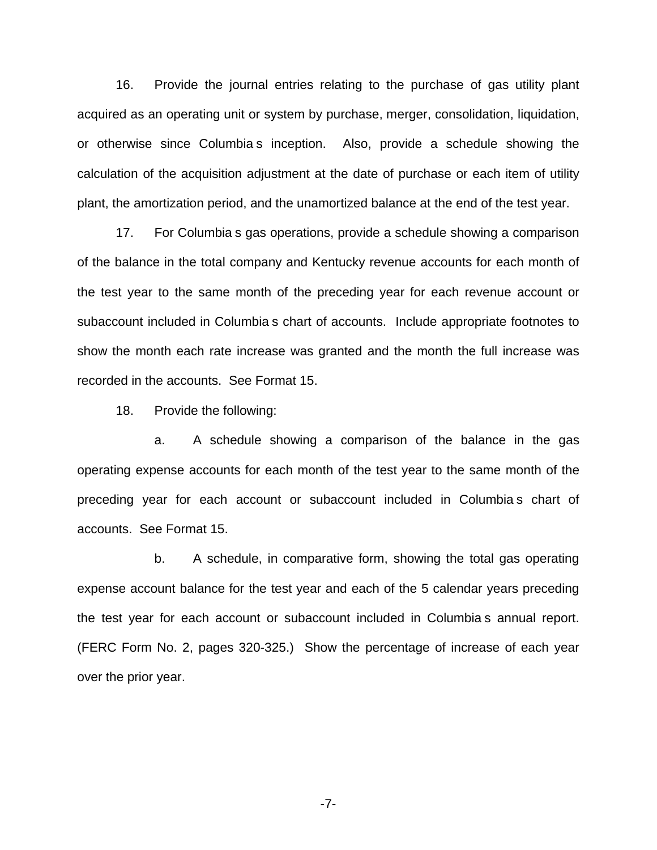16. Provide the journal entries relating to the purchase of gas utility plant acquired as an operating unit or system by purchase, merger, consolidation, liquidation, or otherwise since Columbia s inception. Also, provide a schedule showing the calculation of the acquisition adjustment at the date of purchase or each item of utility plant, the amortization period, and the unamortized balance at the end of the test year.

17. For Columbia s gas operations, provide a schedule showing a comparison of the balance in the total company and Kentucky revenue accounts for each month of the test year to the same month of the preceding year for each revenue account or subaccount included in Columbia s chart of accounts. Include appropriate footnotes to show the month each rate increase was granted and the month the full increase was recorded in the accounts. See Format 15.

18. Provide the following:

a. A schedule showing a comparison of the balance in the gas operating expense accounts for each month of the test year to the same month of the preceding year for each account or subaccount included in Columbia s chart of accounts. See Format 15.

b. A schedule, in comparative form, showing the total gas operating expense account balance for the test year and each of the 5 calendar years preceding the test year for each account or subaccount included in Columbia s annual report. (FERC Form No. 2, pages 320-325.) Show the percentage of increase of each year over the prior year.

-7-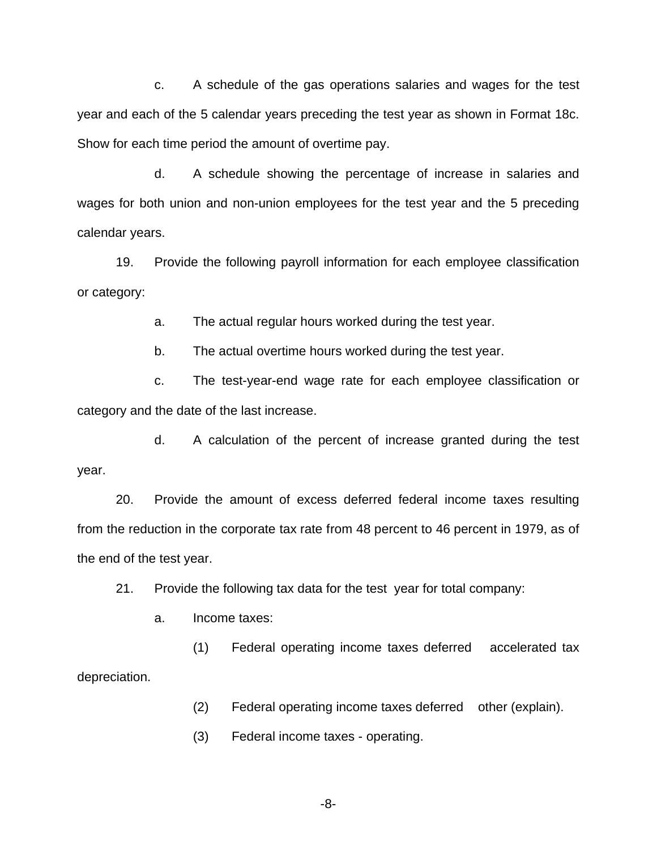c. A schedule of the gas operations salaries and wages for the test year and each of the 5 calendar years preceding the test year as shown in Format 18c. Show for each time period the amount of overtime pay.

d. A schedule showing the percentage of increase in salaries and wages for both union and non-union employees for the test year and the 5 preceding calendar years.

19. Provide the following payroll information for each employee classification or category:

a. The actual regular hours worked during the test year.

b. The actual overtime hours worked during the test year.

c. The test-year-end wage rate for each employee classification or category and the date of the last increase.

d. A calculation of the percent of increase granted during the test year.

20. Provide the amount of excess deferred federal income taxes resulting from the reduction in the corporate tax rate from 48 percent to 46 percent in 1979, as of the end of the test year.

21. Provide the following tax data for the test year for total company:

a. Income taxes:

(1) Federal operating income taxes deferred accelerated tax depreciation.

(2) Federal operating income taxes deferred other (explain).

(3) Federal income taxes - operating.

-8-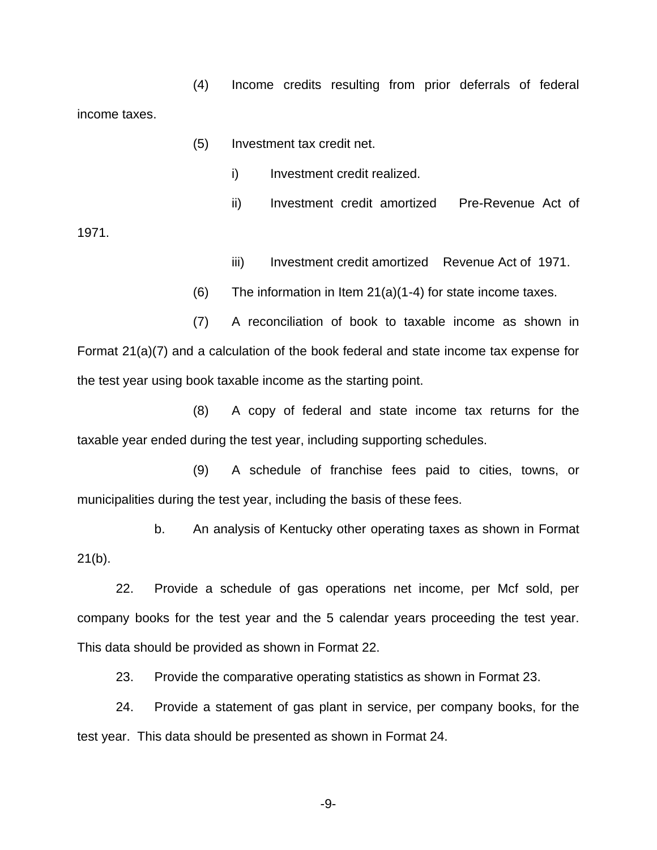(4) Income credits resulting from prior deferrals of federal income taxes.

- (5) Investment tax credit net.
	- i) Investment credit realized.
- ii) Investment credit amortized Pre-Revenue Act of

1971.

- iii) Investment credit amortized Revenue Act of 1971.
- $(6)$  The information in Item 21 $(a)(1-4)$  for state income taxes.

(7) A reconciliation of book to taxable income as shown in Format 21(a)(7) and a calculation of the book federal and state income tax expense for the test year using book taxable income as the starting point.

(8) A copy of federal and state income tax returns for the taxable year ended during the test year, including supporting schedules.

(9) A schedule of franchise fees paid to cities, towns, or municipalities during the test year, including the basis of these fees.

b. An analysis of Kentucky other operating taxes as shown in Format  $21(b)$ .

22. Provide a schedule of gas operations net income, per Mcf sold, per company books for the test year and the 5 calendar years proceeding the test year. This data should be provided as shown in Format 22.

23. Provide the comparative operating statistics as shown in Format 23.

24. Provide a statement of gas plant in service, per company books, for the test year. This data should be presented as shown in Format 24.

-9-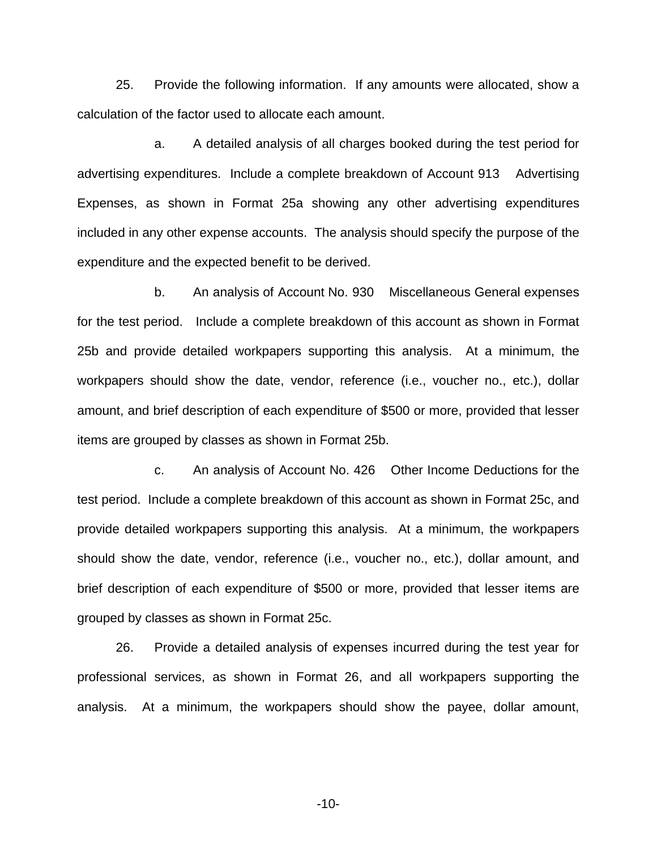25. Provide the following information. If any amounts were allocated, show a calculation of the factor used to allocate each amount.

a. A detailed analysis of all charges booked during the test period for advertising expenditures. Include a complete breakdown of Account 913 Advertising Expenses, as shown in Format 25a showing any other advertising expenditures included in any other expense accounts. The analysis should specify the purpose of the expenditure and the expected benefit to be derived.

b. An analysis of Account No. 930 Miscellaneous General expenses for the test period. Include a complete breakdown of this account as shown in Format 25b and provide detailed workpapers supporting this analysis. At a minimum, the workpapers should show the date, vendor, reference (i.e., voucher no., etc.), dollar amount, and brief description of each expenditure of \$500 or more, provided that lesser items are grouped by classes as shown in Format 25b.

c. An analysis of Account No. 426 Other Income Deductions for the test period. Include a complete breakdown of this account as shown in Format 25c, and provide detailed workpapers supporting this analysis. At a minimum, the workpapers should show the date, vendor, reference (i.e., voucher no., etc.), dollar amount, and brief description of each expenditure of \$500 or more, provided that lesser items are grouped by classes as shown in Format 25c.

26. Provide a detailed analysis of expenses incurred during the test year for professional services, as shown in Format 26, and all workpapers supporting the analysis. At a minimum, the workpapers should show the payee, dollar amount,

-10-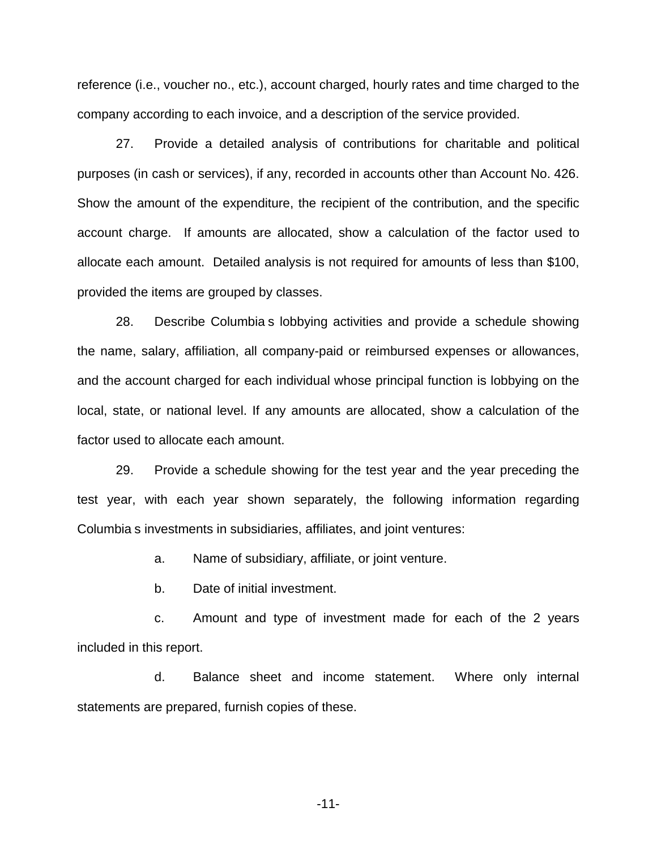reference (i.e., voucher no., etc.), account charged, hourly rates and time charged to the company according to each invoice, and a description of the service provided.

27. Provide a detailed analysis of contributions for charitable and political purposes (in cash or services), if any, recorded in accounts other than Account No. 426. Show the amount of the expenditure, the recipient of the contribution, and the specific account charge. If amounts are allocated, show a calculation of the factor used to allocate each amount. Detailed analysis is not required for amounts of less than \$100, provided the items are grouped by classes.

28. Describe Columbia s lobbying activities and provide a schedule showing the name, salary, affiliation, all company-paid or reimbursed expenses or allowances, and the account charged for each individual whose principal function is lobbying on the local, state, or national level. If any amounts are allocated, show a calculation of the factor used to allocate each amount.

29. Provide a schedule showing for the test year and the year preceding the test year, with each year shown separately, the following information regarding Columbia s investments in subsidiaries, affiliates, and joint ventures:

a. Name of subsidiary, affiliate, or joint venture.

b. Date of initial investment.

c. Amount and type of investment made for each of the 2 years included in this report.

d. Balance sheet and income statement. Where only internal statements are prepared, furnish copies of these.

-11-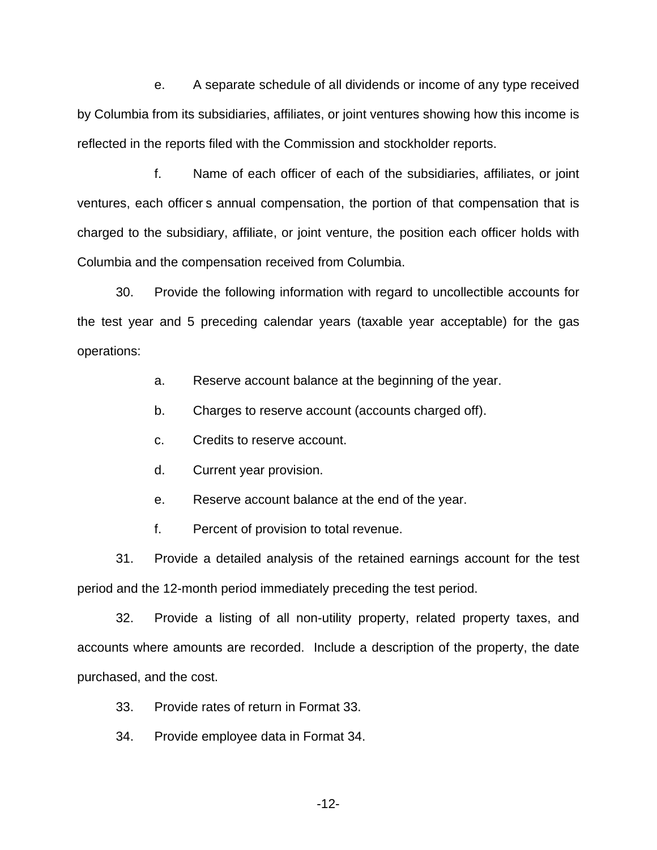e. A separate schedule of all dividends or income of any type received by Columbia from its subsidiaries, affiliates, or joint ventures showing how this income is reflected in the reports filed with the Commission and stockholder reports.

f. Name of each officer of each of the subsidiaries, affiliates, or joint ventures, each officer s annual compensation, the portion of that compensation that is charged to the subsidiary, affiliate, or joint venture, the position each officer holds with Columbia and the compensation received from Columbia.

30. Provide the following information with regard to uncollectible accounts for the test year and 5 preceding calendar years (taxable year acceptable) for the gas operations:

a. Reserve account balance at the beginning of the year.

b. Charges to reserve account (accounts charged off).

c. Credits to reserve account.

d. Current year provision.

e. Reserve account balance at the end of the year.

f. Percent of provision to total revenue.

31. Provide a detailed analysis of the retained earnings account for the test period and the 12-month period immediately preceding the test period.

32. Provide a listing of all non-utility property, related property taxes, and accounts where amounts are recorded. Include a description of the property, the date purchased, and the cost.

33. Provide rates of return in Format 33.

34. Provide employee data in Format 34.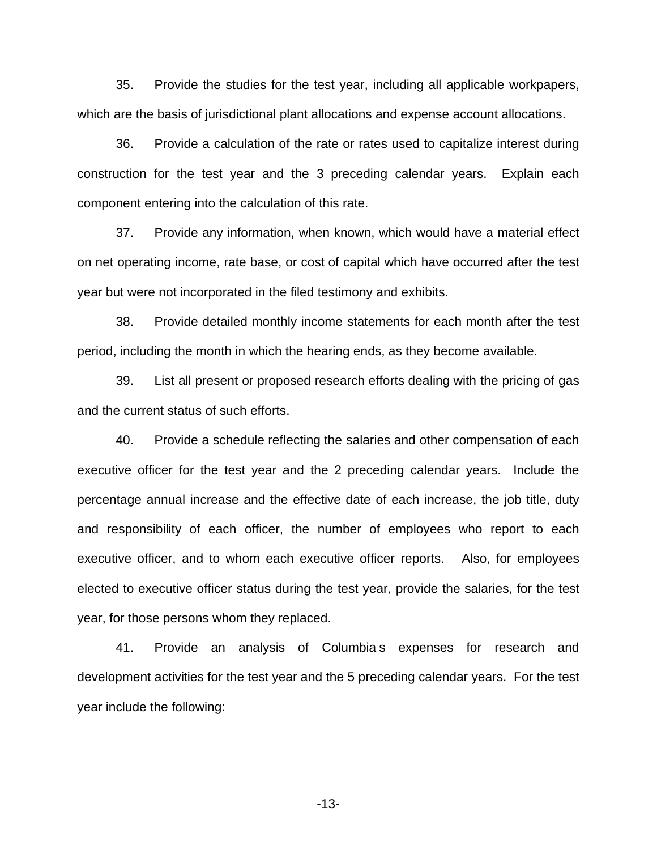35. Provide the studies for the test year, including all applicable workpapers, which are the basis of jurisdictional plant allocations and expense account allocations.

36. Provide a calculation of the rate or rates used to capitalize interest during construction for the test year and the 3 preceding calendar years. Explain each component entering into the calculation of this rate.

37. Provide any information, when known, which would have a material effect on net operating income, rate base, or cost of capital which have occurred after the test year but were not incorporated in the filed testimony and exhibits.

38. Provide detailed monthly income statements for each month after the test period, including the month in which the hearing ends, as they become available.

39. List all present or proposed research efforts dealing with the pricing of gas and the current status of such efforts.

40. Provide a schedule reflecting the salaries and other compensation of each executive officer for the test year and the 2 preceding calendar years. Include the percentage annual increase and the effective date of each increase, the job title, duty and responsibility of each officer, the number of employees who report to each executive officer, and to whom each executive officer reports. Also, for employees elected to executive officer status during the test year, provide the salaries, for the test year, for those persons whom they replaced.

41. Provide an analysis of Columbia s expenses for research and development activities for the test year and the 5 preceding calendar years. For the test year include the following:

-13-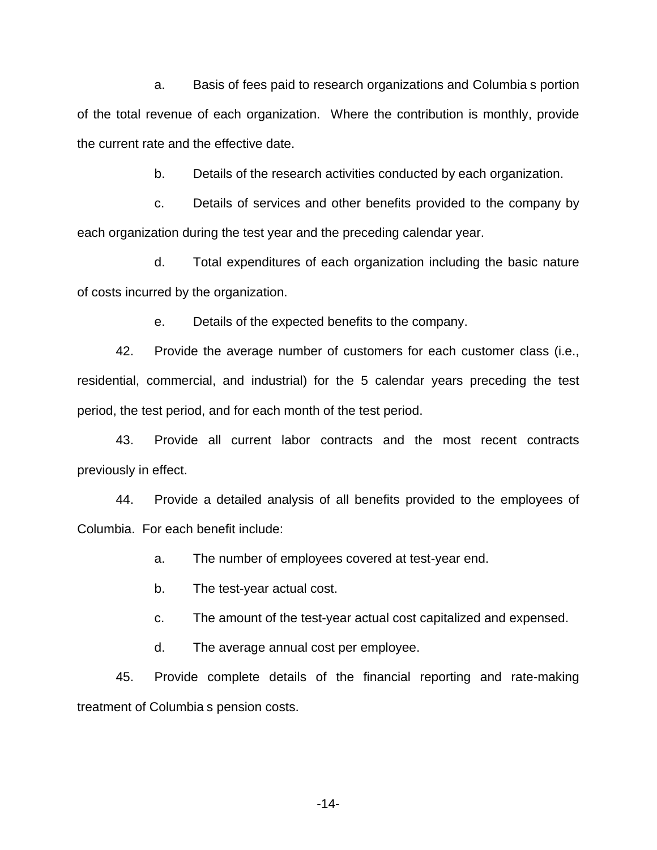a. Basis of fees paid to research organizations and Columbia s portion of the total revenue of each organization. Where the contribution is monthly, provide the current rate and the effective date.

b. Details of the research activities conducted by each organization.

c. Details of services and other benefits provided to the company by each organization during the test year and the preceding calendar year.

d. Total expenditures of each organization including the basic nature of costs incurred by the organization.

e. Details of the expected benefits to the company.

42. Provide the average number of customers for each customer class (i.e., residential, commercial, and industrial) for the 5 calendar years preceding the test period, the test period, and for each month of the test period.

43. Provide all current labor contracts and the most recent contracts previously in effect.

44. Provide a detailed analysis of all benefits provided to the employees of Columbia. For each benefit include:

a. The number of employees covered at test-year end.

b. The test-year actual cost.

c. The amount of the test-year actual cost capitalized and expensed.

d. The average annual cost per employee.

45. Provide complete details of the financial reporting and rate-making treatment of Columbia s pension costs.

-14-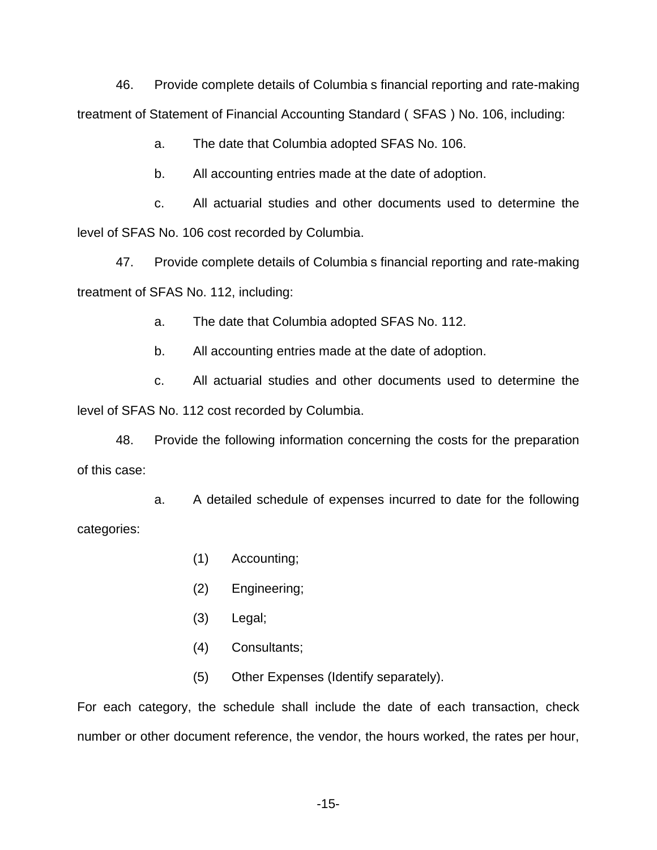46. Provide complete details of Columbia s financial reporting and rate-making treatment of Statement of Financial Accounting Standard ( SFAS ) No. 106, including:

a. The date that Columbia adopted SFAS No. 106.

b. All accounting entries made at the date of adoption.

c. All actuarial studies and other documents used to determine the level of SFAS No. 106 cost recorded by Columbia.

47. Provide complete details of Columbia s financial reporting and rate-making treatment of SFAS No. 112, including:

a. The date that Columbia adopted SFAS No. 112.

b. All accounting entries made at the date of adoption.

c. All actuarial studies and other documents used to determine the level of SFAS No. 112 cost recorded by Columbia.

48. Provide the following information concerning the costs for the preparation of this case:

a. A detailed schedule of expenses incurred to date for the following categories:

- (1) Accounting;
- (2) Engineering;
- (3) Legal;
- (4) Consultants;
- (5) Other Expenses (Identify separately).

For each category, the schedule shall include the date of each transaction, check number or other document reference, the vendor, the hours worked, the rates per hour,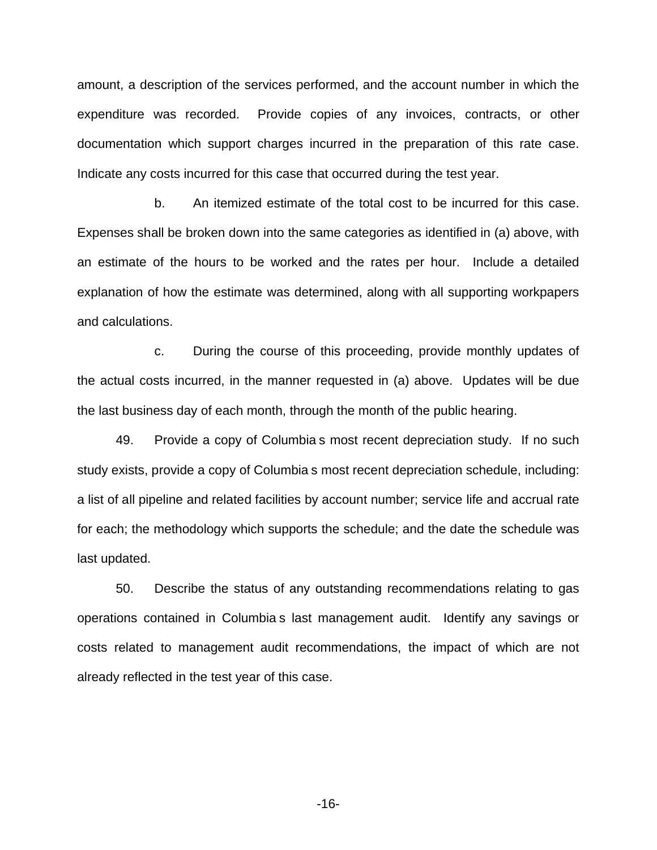amount, a description of the services performed, and the account number in which the expenditure was recorded. Provide copies of any invoices, contracts, or other documentation which support charges incurred in the preparation of this rate case. Indicate any costs incurred for this case that occurred during the test year.

b. An itemized estimate of the total cost to be incurred for this case. Expenses shall be broken down into the same categories as identified in (a) above, with an estimate of the hours to be worked and the rates per hour. Include a detailed explanation of how the estimate was determined, along with all supporting workpapers and calculations.

c. During the course of this proceeding, provide monthly updates of the actual costs incurred, in the manner requested in (a) above. Updates will be due the last business day of each month, through the month of the public hearing.

49. Provide a copy of Columbia s most recent depreciation study. If no such study exists, provide a copy of Columbia s most recent depreciation schedule, including: a list of all pipeline and related facilities by account number; service life and accrual rate for each; the methodology which supports the schedule; and the date the schedule was last updated.

50. Describe the status of any outstanding recommendations relating to gas operations contained in Columbia s last management audit. Identify any savings or costs related to management audit recommendations, the impact of which are not already reflected in the test year of this case.

-16-